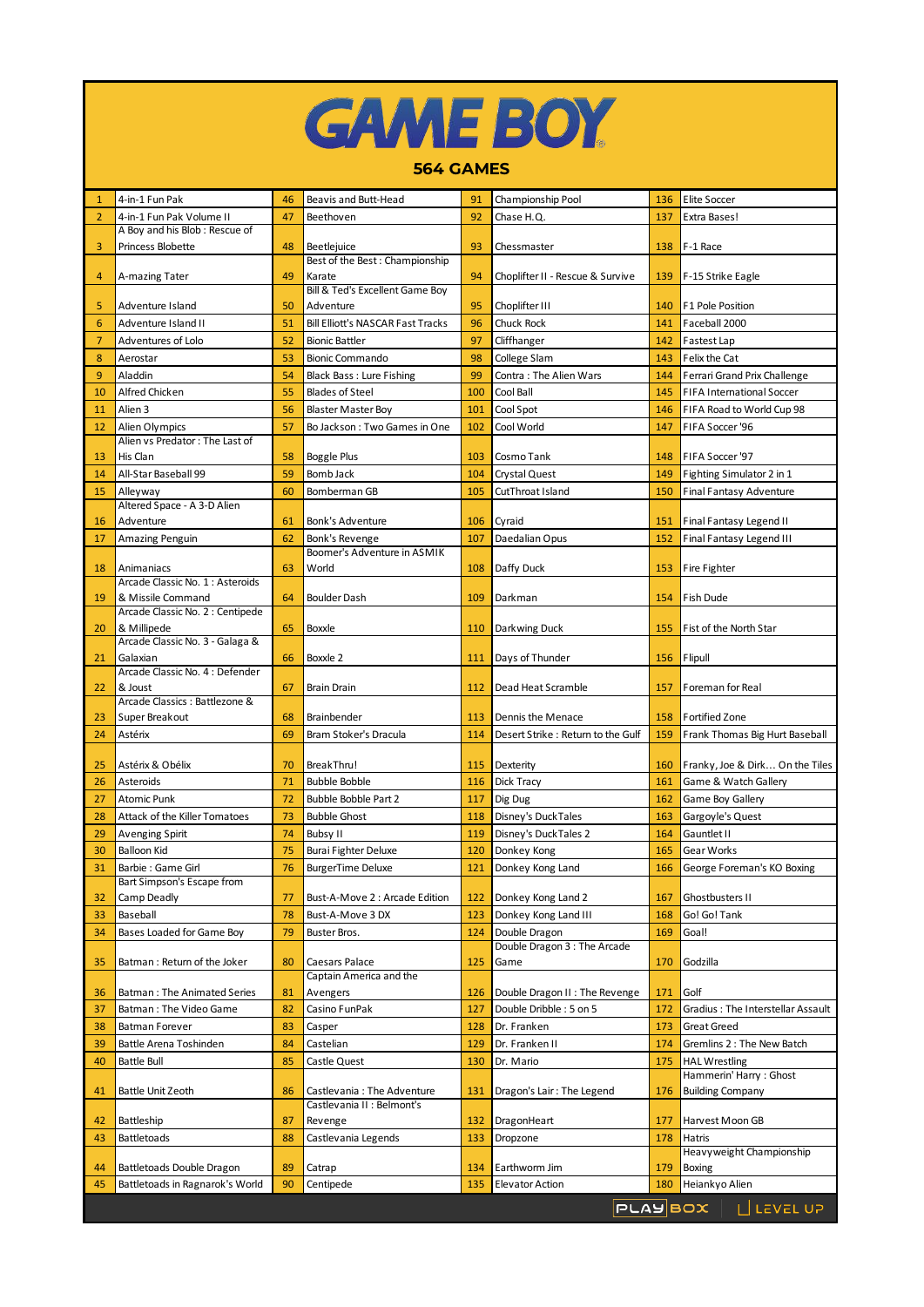|  | <b>GAME BOY</b> |  |
|--|-----------------|--|
|  |                 |  |

## **564 GAMES**

| 1              | 4-in-1 Fun Pak                                     | 46 | Beavis and Butt-Head                          | 91  | Championship Pool                            | 136 | <b>Elite Soccer</b>               |
|----------------|----------------------------------------------------|----|-----------------------------------------------|-----|----------------------------------------------|-----|-----------------------------------|
| $\overline{2}$ | 4-in-1 Fun Pak Volume II                           | 47 | Beethoven                                     | 92  | Chase H.Q.                                   | 137 | Extra Bases!                      |
| $\overline{3}$ | A Boy and his Blob: Rescue of<br>Princess Blobette | 48 |                                               | 93  |                                              | 138 | F-1 Race                          |
|                |                                                    |    | Beetlejuice<br>Best of the Best: Championship |     | Chessmaster                                  |     |                                   |
| 4              | A-mazing Tater                                     | 49 | Karate                                        | 94  | Choplifter II - Rescue & Survive             | 139 | F-15 Strike Eagle                 |
|                |                                                    |    | Bill & Ted's Excellent Game Boy               |     |                                              |     |                                   |
| 5              | Adventure Island                                   | 50 | Adventure                                     | 95  | Choplifter III                               | 140 | F1 Pole Position                  |
| 6              | Adventure Island II                                | 51 | <b>Bill Elliott's NASCAR Fast Tracks</b>      | 96  | Chuck Rock                                   | 141 | Faceball 2000                     |
| $\overline{7}$ | <b>Adventures of Lolo</b>                          | 52 | <b>Bionic Battler</b>                         | 97  | Cliffhanger                                  | 142 | Fastest Lap                       |
| 8              | Aerostar                                           | 53 | <b>Bionic Commando</b>                        | 98  | College Slam                                 | 143 | Felix the Cat                     |
| 9              | Aladdin                                            | 54 | Black Bass: Lure Fishing                      | 99  | Contra: The Alien Wars                       | 144 | Ferrari Grand Prix Challenge      |
| 10             | Alfred Chicken                                     | 55 | <b>Blades of Steel</b>                        | 100 | Cool Ball                                    | 145 | <b>FIFA International Soccer</b>  |
| 11             | Alien 3                                            | 56 | <b>Blaster Master Boy</b>                     | 101 | Cool Spot                                    | 146 | FIFA Road to World Cup 98         |
| 12             | Alien Olympics                                     | 57 | Bo Jackson: Two Games in One                  | 102 | Cool World                                   | 147 | FIFA Soccer '96                   |
|                | Alien vs Predator: The Last of                     |    |                                               |     |                                              |     |                                   |
| 13             | His Clan                                           | 58 | Boggle Plus                                   | 103 | Cosmo Tank                                   | 148 | FIFA Soccer '97                   |
| 14             | All-Star Baseball 99                               | 59 | Bomb Jack                                     | 104 | Crystal Quest                                | 149 | Fighting Simulator 2 in 1         |
| 15             | Alleyway                                           | 60 | Bomberman GB                                  | 105 | CutThroat Island                             | 150 | Final Fantasy Adventure           |
| 16             | Altered Space - A 3-D Alien<br>Adventure           | 61 | Bonk's Adventure                              | 106 |                                              | 151 | Final Fantasy Legend II           |
|                |                                                    |    |                                               |     | Cyraid<br>Daedalian Opus                     |     |                                   |
| 17             | Amazing Penguin                                    | 62 | Bonk's Revenge<br>Boomer's Adventure in ASMIK | 107 |                                              | 152 | <b>Final Fantasy Legend III</b>   |
| 18             | Animaniacs                                         | 63 | World                                         | 108 | Daffy Duck                                   | 153 | Fire Fighter                      |
|                | Arcade Classic No. 1: Asteroids                    |    |                                               |     |                                              |     |                                   |
| 19             | & Missile Command                                  | 64 | <b>Boulder Dash</b>                           | 109 | Darkman                                      | 154 | Fish Dude                         |
|                | Arcade Classic No. 2 : Centipede                   |    |                                               |     |                                              |     |                                   |
| 20             | & Millipede                                        | 65 | Boxxle                                        | 110 | Darkwing Duck                                | 155 | Fist of the North Star            |
|                | Arcade Classic No. 3 - Galaga &                    |    |                                               |     |                                              |     |                                   |
| 21             | Galaxian<br>Arcade Classic No. 4: Defender         | 66 | Boxxle 2                                      | 111 | Days of Thunder                              | 156 | Flipull                           |
| 22             | & Joust                                            | 67 | <b>Brain Drain</b>                            | 112 | Dead Heat Scramble                           | 157 | Foreman for Real                  |
|                | Arcade Classics: Battlezone &                      |    |                                               |     |                                              |     |                                   |
| 23             | Super Breakout                                     | 68 | Brainbender                                   | 113 | Dennis the Menace                            | 158 | <b>Fortified Zone</b>             |
| 24             | Astérix                                            | 69 | Bram Stoker's Dracula                         | 114 | Desert Strike : Return to the Gulf           | 159 | Frank Thomas Big Hurt Baseball    |
|                |                                                    |    |                                               |     |                                              |     |                                   |
| 25             | Astérix & Obélix                                   | 70 | BreakThru!                                    | 115 | Dexterity                                    | 160 | Franky, Joe & Dirk On the Tiles   |
| 26             | Asteroids                                          | 71 | <b>Bubble Bobble</b>                          | 116 | Dick Tracy                                   | 161 | Game & Watch Gallery              |
| 27             | <b>Atomic Punk</b>                                 | 72 | <b>Bubble Bobble Part 2</b>                   | 117 | Dig Dug                                      | 162 | Game Boy Gallery                  |
| 28             | Attack of the Killer Tomatoes                      | 73 | <b>Bubble Ghost</b>                           | 118 | Disney's DuckTales                           | 163 | Gargoyle's Quest                  |
| 29             | <b>Avenging Spirit</b>                             | 74 | Bubsy II                                      | 119 | Disney's DuckTales 2                         | 164 | Gauntlet II                       |
| 30             | <b>Balloon Kid</b>                                 | 75 | <b>Burai Fighter Deluxe</b>                   | 120 | Donkey Kong                                  | 165 | Gear Works                        |
| 31             | Barbie: Game Girl                                  | 76 | <b>BurgerTime Deluxe</b>                      | 121 | Donkey Kong Land                             | 166 | George Foreman's KO Boxing        |
|                | Bart Simpson's Escape from                         |    |                                               |     |                                              |     |                                   |
| 32             | Camp Deadly                                        | 77 | Bust-A-Move 2 : Arcade Edition                | 122 | Donkey Kong Land 2                           | 167 | Ghostbusters II                   |
| 33             | Baseball                                           | 78 | Bust-A-Move 3 DX                              | 123 | Donkey Kong Land III                         | 168 | Go! Go! Tank                      |
| 34             | Bases Loaded for Game Boy                          | 79 | Buster Bros.                                  | 124 | Double Dragon<br>Double Dragon 3: The Arcade | 169 | Goal!                             |
| 35             | Batman: Return of the Joker                        | 80 | Caesars Palace                                | 125 | Game                                         | 170 | Godzilla                          |
|                |                                                    |    | Captain America and the                       |     |                                              |     |                                   |
| 36             | Batman: The Animated Series                        | 81 | Avengers                                      | 126 | Double Dragon II : The Revenge               | 171 | Golf                              |
| 37             | Batman: The Video Game                             | 82 | Casino FunPak                                 | 127 | Double Dribble: 5 on 5                       | 172 | Gradius: The Interstellar Assault |
| 38             | <b>Batman Forever</b>                              | 83 | Casper                                        | 128 | Dr. Franken                                  | 173 | Great Greed                       |
| 39             | Battle Arena Toshinden                             | 84 | Castelian                                     | 129 | Dr. Franken II                               | 174 | Gremlins 2 : The New Batch        |
| 40             | <b>Battle Bull</b>                                 | 85 | Castle Quest                                  | 130 | Dr. Mario                                    | 175 | <b>HAL Wrestling</b>              |
|                |                                                    |    |                                               |     |                                              |     | Hammerin' Harry: Ghost            |
| 41             | Battle Unit Zeoth                                  | 86 | Castlevania: The Adventure                    | 131 | Dragon's Lair: The Legend                    | 176 | <b>Building Company</b>           |
|                |                                                    |    | Castlevania II : Belmont's                    |     |                                              |     |                                   |
| 42             | Battleship                                         | 87 | Revenge                                       | 132 | DragonHeart                                  | 177 | Harvest Moon GB                   |
| 43             | <b>Battletoads</b>                                 | 88 | Castlevania Legends                           | 133 | Dropzone                                     | 178 | Hatris                            |
|                |                                                    |    |                                               |     |                                              |     | Heavyweight Championship          |
| 44             | Battletoads Double Dragon                          | 89 | Catrap                                        | 134 | Earthworm Jim                                | 179 | <b>Boxing</b>                     |
| 45             | Battletoads in Ragnarok's World                    | 90 | Centipede                                     | 135 | <b>Elevator Action</b>                       | 180 | Heiankyo Alien                    |
|                |                                                    |    |                                               |     |                                              |     | PLAYBOX   LILEVEL UP              |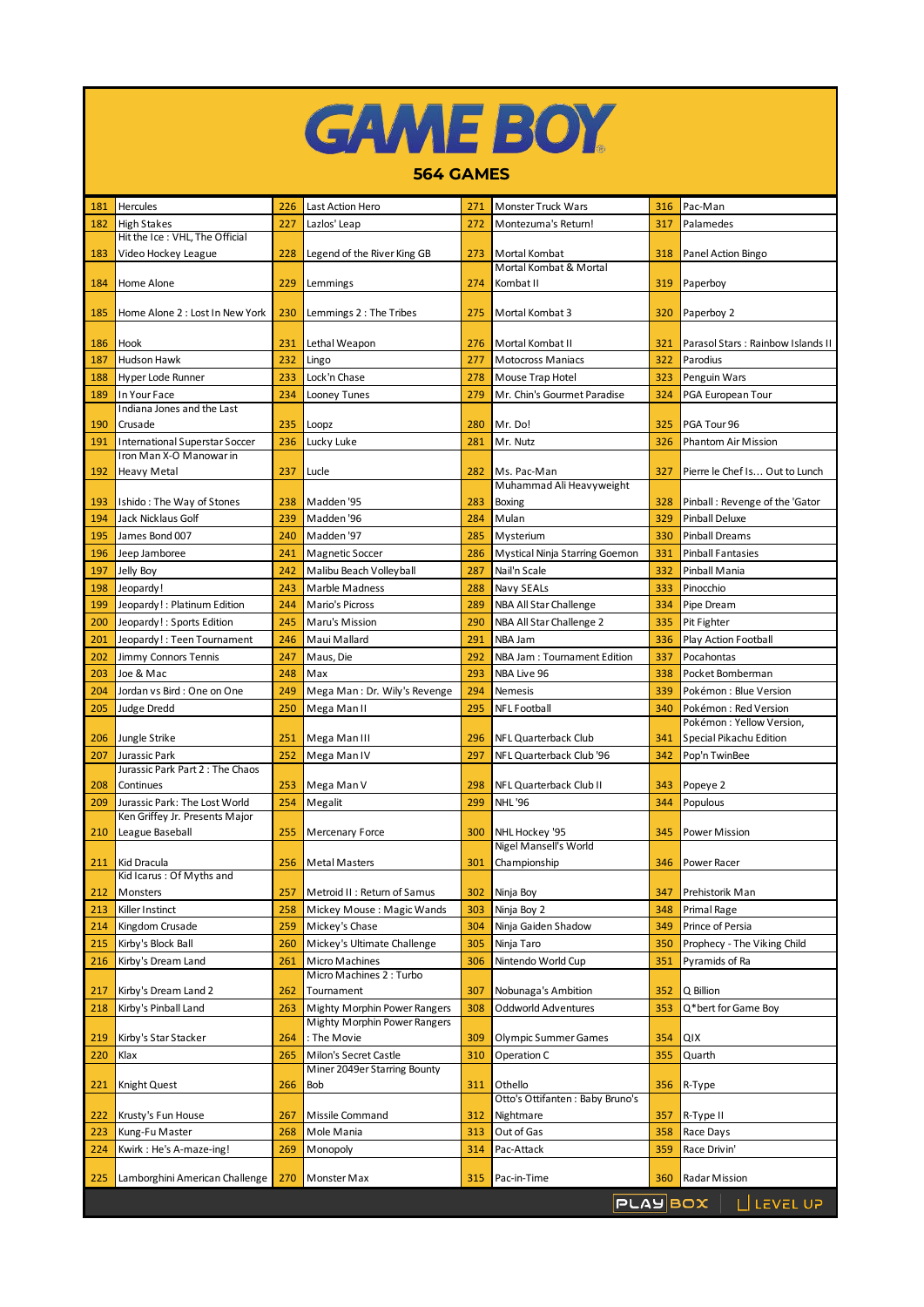|  |  | <b>GAME BOY</b> |
|--|--|-----------------|
|  |  |                 |

## **564 GAMES**

| 181 | Hercules                                                         | 226 | Last Action Hero                    | 271 | Monster Truck Wars                      | 316 | Pac-Man                           |
|-----|------------------------------------------------------------------|-----|-------------------------------------|-----|-----------------------------------------|-----|-----------------------------------|
| 182 | <b>High Stakes</b>                                               | 227 | Lazlos' Leap                        | 272 | Montezuma's Return!                     | 317 | Palamedes                         |
|     | Hit the Ice: VHL. The Official                                   |     |                                     |     |                                         |     |                                   |
| 183 | Video Hockey League                                              | 228 | Legend of the River King GB         | 273 | Mortal Kombat                           | 318 | Panel Action Bingo                |
|     |                                                                  |     |                                     |     | Mortal Kombat & Mortal                  |     |                                   |
| 184 | Home Alone                                                       | 229 | Lemmings                            | 274 | Kombat II                               | 319 | Paperboy                          |
|     |                                                                  |     |                                     |     |                                         |     |                                   |
| 185 | Home Alone 2 : Lost In New York                                  | 230 | Lemmings 2 : The Tribes             | 275 | Mortal Kombat 3                         | 320 | Paperboy 2                        |
| 186 | Hook                                                             | 231 | Lethal Weapon                       | 276 | Mortal Kombat II                        | 321 | Parasol Stars: Rainbow Islands II |
|     |                                                                  |     |                                     |     |                                         |     |                                   |
| 187 | <b>Hudson Hawk</b>                                               | 232 | Lingo                               | 277 | <b>Motocross Maniacs</b>                | 322 | Parodius                          |
| 188 | Hyper Lode Runner                                                | 233 | Lock'n Chase                        | 278 | Mouse Trap Hotel                        | 323 | Penguin Wars                      |
| 189 | In Your Face                                                     | 234 | Looney Tunes                        | 279 | Mr. Chin's Gourmet Paradise             | 324 | PGA European Tour                 |
|     | Indiana Jones and the Last                                       |     |                                     |     |                                         |     |                                   |
| 190 | Crusade                                                          | 235 | Loopz                               | 280 | Mr. Do!                                 | 325 | PGA Tour 96                       |
| 191 | <b>International Superstar Soccer</b><br>Iron Man X-O Manowar in | 236 | Lucky Luke                          | 281 | Mr. Nutz                                | 326 | Phantom Air Mission               |
|     | <b>Heavy Metal</b>                                               | 237 |                                     | 282 | Ms. Pac-Man                             | 327 | Pierre le Chef Is Out to Lunch    |
| 192 |                                                                  |     | Lucle                               |     | Muhammad Ali Heavyweight                |     |                                   |
| 193 | Ishido: The Way of Stones                                        | 238 | Madden '95                          | 283 | Boxing                                  | 328 | Pinball: Revenge of the 'Gator    |
| 194 | Jack Nicklaus Golf                                               | 239 | Madden '96                          | 284 | Mulan                                   | 329 | Pinball Deluxe                    |
|     | James Bond 007                                                   | 240 | Madden '97                          | 285 |                                         | 330 | <b>Pinball Dreams</b>             |
| 195 |                                                                  |     |                                     |     | Mysterium                               |     |                                   |
| 196 | Jeep Jamboree                                                    | 241 | Magnetic Soccer                     | 286 | Mystical Ninja Starring Goemon          | 331 | <b>Pinball Fantasies</b>          |
| 197 | Jelly Boy                                                        | 242 | Malibu Beach Volleyball             | 287 | Nail'n Scale                            | 332 | Pinball Mania                     |
| 198 | Jeopardy!                                                        | 243 | <b>Marble Madness</b>               | 288 | Navy SEALs                              | 333 | Pinocchio                         |
| 199 | Jeopardy!: Platinum Edition                                      | 244 | Mario's Picross                     | 289 | NBA All Star Challenge                  | 334 | Pipe Dream                        |
| 200 | Jeopardy!: Sports Edition                                        | 245 | Maru's Mission                      | 290 | NBA All Star Challenge 2                | 335 | Pit Fighter                       |
| 201 | Jeopardy!: Teen Tournament                                       | 246 | Maui Mallard                        | 291 | NBA Jam                                 | 336 | Play Action Football              |
| 202 | Jimmy Connors Tennis                                             | 247 | Maus, Die                           | 292 | NBA Jam: Tournament Edition             | 337 | Pocahontas                        |
| 203 | Joe & Mac                                                        | 248 | Max                                 | 293 | NBA Live 96                             | 338 | Pocket Bomberman                  |
| 204 | Jordan vs Bird: One on One                                       | 249 | Mega Man: Dr. Wily's Revenge        | 294 | <b>Nemesis</b>                          | 339 | Pokémon: Blue Version             |
| 205 | <b>Judge Dredd</b>                                               | 250 | Mega Man II                         | 295 | <b>NFL Football</b>                     | 340 | Pokémon: Red Version              |
|     |                                                                  |     |                                     |     |                                         |     | Pokémon: Yellow Version,          |
| 206 | Jungle Strike                                                    | 251 | Mega Man III                        | 296 | NFL Quarterback Club                    | 341 | Special Pikachu Edition           |
| 207 | Jurassic Park                                                    | 252 | Mega Man IV                         | 297 | NFL Quarterback Club '96                | 342 | Pop'n TwinBee                     |
|     | Jurassic Park Part 2: The Chaos                                  |     |                                     |     |                                         |     |                                   |
| 208 | Continues                                                        | 253 | Mega Man V                          | 298 | NFL Quarterback Club II                 | 343 | Popeye 2                          |
| 209 | Jurassic Park: The Lost World                                    | 254 | Megalit                             | 299 | <b>NHL '96</b>                          | 344 | Populous                          |
|     | Ken Griffey Jr. Presents Major                                   |     |                                     |     |                                         |     |                                   |
| 210 | League Baseball                                                  | 255 | Mercenary Force                     | 300 | NHL Hockey '95<br>Nigel Mansell's World | 345 | Power Mission                     |
| 211 | Kid Dracula                                                      | 256 | <b>Metal Masters</b>                | 301 | Championship                            | 346 | Power Racer                       |
|     | Kid Icarus: Of Myths and                                         |     |                                     |     |                                         |     |                                   |
| 212 | Monsters                                                         | 257 | Metroid II : Return of Samus        | 302 | Ninja Boy                               | 347 | Prehistorik Man                   |
| 213 | Killer Instinct                                                  | 258 | Mickey Mouse: Magic Wands           | 303 | Ninja Boy 2                             | 348 | Primal Rage                       |
| 214 | Kingdom Crusade                                                  | 259 | Mickey's Chase                      | 304 | Ninja Gaiden Shadow                     | 349 | Prince of Persia                  |
| 215 | Kirby's Block Ball                                               | 260 | Mickey's Ultimate Challenge         | 305 | Ninja Taro                              | 350 | Prophecy - The Viking Child       |
| 216 | Kirby's Dream Land                                               | 261 | Micro Machines                      | 306 | Nintendo World Cup                      | 351 | Pyramids of Ra                    |
|     |                                                                  |     | Micro Machines 2: Turbo             |     |                                         |     |                                   |
| 217 | Kirby's Dream Land 2                                             | 262 | Tournament                          | 307 | Nobunaga's Ambition                     | 352 | Q Billion                         |
| 218 | Kirby's Pinball Land                                             | 263 | Mighty Morphin Power Rangers        | 308 | Oddworld Adventures                     | 353 | Q*bert for Game Boy               |
|     |                                                                  |     | <b>Mighty Morphin Power Rangers</b> |     |                                         |     |                                   |
| 219 | Kirby's Star Stacker                                             | 264 | : The Movie                         | 309 | Olympic Summer Games                    | 354 | QIX                               |
| 220 | Klax                                                             | 265 | Milon's Secret Castle               | 310 | Operation C                             | 355 | Quarth                            |
|     |                                                                  |     | Miner 2049er Starring Bounty        |     |                                         |     |                                   |
| 221 | Knight Quest                                                     | 266 | Bob                                 | 311 | Othello                                 | 356 | R-Type                            |
|     |                                                                  |     |                                     |     | Otto's Ottifanten : Baby Bruno's        |     |                                   |
| 222 | Krusty's Fun House                                               | 267 | Missile Command                     | 312 | Nightmare                               | 357 | R-Type II                         |
| 223 | Kung-Fu Master                                                   | 268 | Mole Mania                          | 313 | Out of Gas                              | 358 | Race Days                         |
| 224 | Kwirk: He's A-maze-ing!                                          | 269 | Monopoly                            | 314 | Pac-Attack                              | 359 | Race Drivin'                      |
|     |                                                                  |     |                                     |     |                                         |     |                                   |
| 225 | Lamborghini American Challenge                                   | 270 | Monster Max                         | 315 | Pac-in-Time                             | 360 | Radar Mission                     |
|     |                                                                  |     |                                     |     | <b>PLAYBOX</b>                          |     | $\mathbf{L}$ LEVEL UP             |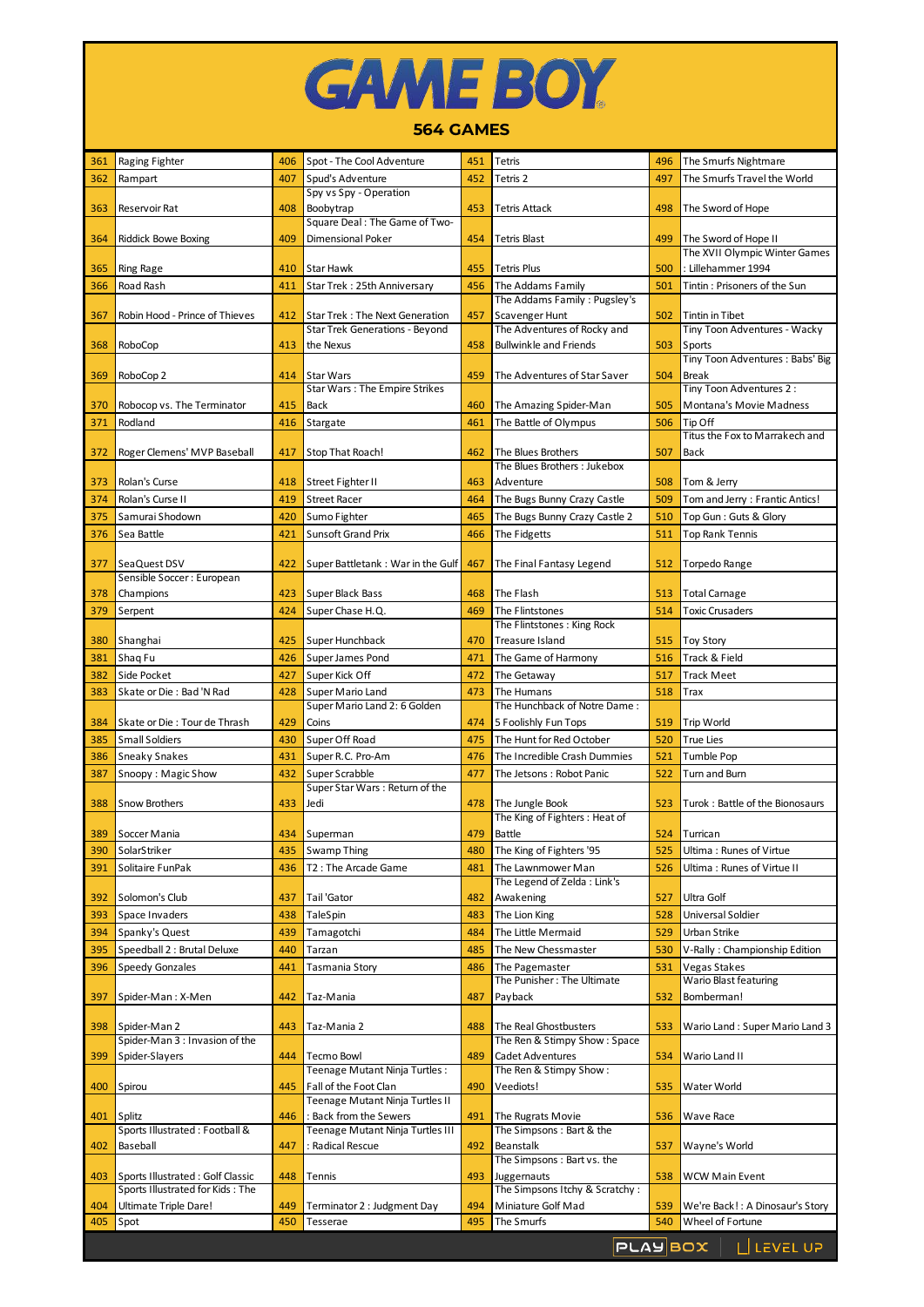## **GAME BOY**

## **564 GAMES**

| 361        | Raging Fighter                                   | 406        | Spot - The Cool Adventure                                  | 451        | Tetris                                                       | 496        | The Smurfs Nightmare                   |
|------------|--------------------------------------------------|------------|------------------------------------------------------------|------------|--------------------------------------------------------------|------------|----------------------------------------|
| 362        | Rampart                                          | 407        | Spud's Adventure                                           | 452        | Tetris 2                                                     | 497        | The Smurfs Travel the World            |
|            |                                                  |            | Spy vs Spy - Operation                                     |            |                                                              |            |                                        |
| 363        | Reservoir Rat                                    | 408        | Boobytrap                                                  | 453        | <b>Tetris Attack</b>                                         | 498        | The Sword of Hope                      |
| 364        | <b>Riddick Bowe Boxing</b>                       | 409        | Square Deal: The Game of Two-<br>Dimensional Poker         | 454        | <b>Tetris Blast</b>                                          | 499        | The Sword of Hope II                   |
|            |                                                  |            |                                                            |            |                                                              |            | The XVII Olympic Winter Games          |
| 365        | Ring Rage                                        | 410        | Star Hawk                                                  | 455        | <b>Tetris Plus</b>                                           | 500        | : Lillehammer 1994                     |
| 366        | Road Rash                                        | 411        | Star Trek: 25th Anniversary                                | 456        | The Addams Family                                            | 501        | Tintin : Prisoners of the Sun          |
|            |                                                  |            |                                                            |            | The Addams Family: Pugsley's                                 |            |                                        |
| 367        | Robin Hood - Prince of Thieves                   | 412        | <b>Star Trek: The Next Generation</b>                      | 457        | Scavenger Hunt                                               | 502        | <b>Tintin in Tibet</b>                 |
| 368        | RoboCop                                          | 413        | <b>Star Trek Generations - Beyond</b><br>the Nexus         | 458        | The Adventures of Rocky and<br><b>Bullwinkle and Friends</b> | 503        | Tiny Toon Adventures - Wacky<br>Sports |
|            |                                                  |            |                                                            |            |                                                              |            | Tiny Toon Adventures: Babs' Big        |
| 369        | RoboCop 2                                        | 414        | Star Wars                                                  | 459        | The Adventures of Star Saver                                 | 504        | <b>Break</b>                           |
|            |                                                  |            | Star Wars : The Empire Strikes                             |            |                                                              |            | Tiny Toon Adventures 2:                |
| 370        | Robocop vs. The Terminator                       | 415        | Back                                                       | 460        | The Amazing Spider-Man                                       | 505        | Montana's Movie Madness                |
| 371        | Rodland                                          | 416        | Stargate                                                   | 461        | The Battle of Olympus                                        | 506        | Tip Off                                |
| 372        | Roger Clemens' MVP Baseball                      | 417        | Stop That Roach!                                           | 462        | The Blues Brothers                                           | 507        | Titus the Fox to Marrakech and<br>Back |
|            |                                                  |            |                                                            |            | The Blues Brothers: Jukebox                                  |            |                                        |
| 373        | Rolan's Curse                                    | 418        | Street Fighter II                                          | 463        | Adventure                                                    | 508        | Tom & Jerry                            |
| 374        | Rolan's Curse II                                 | 419        | <b>Street Racer</b>                                        | 464        | The Bugs Bunny Crazy Castle                                  | 509        | Tom and Jerry: Frantic Antics!         |
| 375        | Samurai Shodown                                  | 420        | Sumo Fighter                                               | 465        | The Bugs Bunny Crazy Castle 2                                | 510        | Top Gun: Guts & Glory                  |
| 376        | Sea Battle                                       | 421        | <b>Sunsoft Grand Prix</b>                                  | 466        | The Fidgetts                                                 | 511        | <b>Top Rank Tennis</b>                 |
|            |                                                  |            |                                                            |            |                                                              |            |                                        |
| 377        | SeaQuest DSV                                     | 422        | Super Battletank: War in the Gulf                          | 467        | The Final Fantasy Legend                                     | 512        | Torpedo Range                          |
| 378        | Sensible Soccer: European<br>Champions           | 423        | Super Black Bass                                           | 468        | The Flash                                                    | 513        | Total Carnage                          |
| 379        | Serpent                                          | 424        | Super Chase H.Q.                                           | 469        | The Flintstones                                              | 514        | Toxic Crusaders                        |
|            |                                                  |            |                                                            |            | The Flintstones: King Rock                                   |            |                                        |
| 380        | Shanghai                                         | 425        | Super Hunchback                                            | 470        | Treasure Island                                              | 515        | <b>Toy Story</b>                       |
| 381        | Shaq Fu                                          | 426        | Super James Pond                                           | 471        | The Game of Harmony                                          | 516        | Track & Field                          |
| 382        | Side Pocket                                      | 427        | Super Kick Off                                             | 472        | The Getaway                                                  | 517        | Track Meet                             |
| 383        | Skate or Die: Bad 'N Rad                         | 428        | Super Mario Land                                           | 473        | The Humans                                                   | 518        | Trax                                   |
|            |                                                  |            | Super Mario Land 2: 6 Golden                               |            | The Hunchback of Notre Dame:                                 |            |                                        |
| 384        | Skate or Die: Tour de Thrash                     | 429        | Coins                                                      | 474        | 5 Foolishly Fun Tops                                         | 519        | Trip World                             |
| 385        | <b>Small Soldiers</b>                            | 430        | Super Off Road                                             | 475        | The Hunt for Red October                                     | 520        | <b>True Lies</b>                       |
| 386        | Sneaky Snakes                                    | 431        | Super R.C. Pro-Am                                          | 476        | The Incredible Crash Dummies                                 | 521        | <b>Tumble Pop</b>                      |
| 387        | Snoopy: Magic Show                               | 432        | Super Scrabble<br>Super Star Wars: Return of the           | 477        | The Jetsons: Robot Panic                                     | 522        | Turn and Burn                          |
| 388        | Snow Brothers                                    | 433        | Jedi                                                       | 478        | The Jungle Book                                              | 523        | Turok: Battle of the Bionosaurs        |
|            |                                                  |            |                                                            |            | The King of Fighters : Heat of                               |            |                                        |
| 389        | Soccer Mania                                     | 434        | Superman                                                   | 479        | Battle                                                       | 524        | Turrican                               |
| 390        | SolarStriker                                     | 435        | <b>Swamp Thing</b>                                         | 480        | The King of Fighters '95                                     | 525        | Ultima: Runes of Virtue                |
| 391        | Solitaire FunPak                                 | 436        | T2: The Arcade Game                                        | 481        | The Lawnmower Man                                            | 526        | Ultima: Runes of Virtue II             |
|            |                                                  |            |                                                            |            | The Legend of Zelda: Link's                                  |            |                                        |
| 392<br>393 | Solomon's Club<br>Space Invaders                 | 437<br>438 | Tail 'Gator<br>TaleSpin                                    | 482<br>483 | Awakening<br>The Lion King                                   | 527<br>528 | Ultra Golf<br>Universal Soldier        |
| 394        | Spanky's Quest                                   | 439        | Tamagotchi                                                 | 484        | The Little Mermaid                                           | 529        | Urban Strike                           |
| 395        | Speedball 2 : Brutal Deluxe                      | 440        | Tarzan                                                     | 485        | The New Chessmaster                                          | 530        | V-Rally: Championship Edition          |
| 396        | <b>Speedy Gonzales</b>                           | 441        | Tasmania Story                                             | 486        | The Pagemaster                                               | 531        | Vegas Stakes                           |
|            |                                                  |            |                                                            |            | The Punisher: The Ultimate                                   |            | Wario Blast featuring                  |
| 397        | Spider-Man: X-Men                                | 442        | Taz-Mania                                                  | 487        | Payback                                                      | 532        | Bomberman!                             |
|            |                                                  |            |                                                            |            |                                                              |            |                                        |
| 398        | Spider-Man 2<br>Spider-Man 3 : Invasion of the   | 443        | Taz-Mania 2                                                | 488        | The Real Ghostbusters<br>The Ren & Stimpy Show: Space        | 533        | Wario Land: Super Mario Land 3         |
| 399        | Spider-Slayers                                   | 444        | <b>Tecmo Bowl</b>                                          | 489        | Cadet Adventures                                             | 534        | Wario Land II                          |
|            |                                                  |            | Teenage Mutant Ninja Turtles:                              |            | The Ren & Stimpy Show:                                       |            |                                        |
| 400        | Spirou                                           | 445        | Fall of the Foot Clan                                      | 490        | Veediots!                                                    | 535        | Water World                            |
|            |                                                  |            | Teenage Mutant Ninja Turtles II                            |            |                                                              |            |                                        |
| 401        | <b>Splitz</b><br>Sports Illustrated : Football & | 446        | : Back from the Sewers<br>Teenage Mutant Ninja Turtles III | 491        | The Rugrats Movie<br>The Simpsons: Bart & the                | 536        | Wave Race                              |
| 402        | Baseball                                         | 447        | : Radical Rescue                                           | 492        | Beanstalk                                                    | 537        | Wayne's World                          |
|            |                                                  |            |                                                            |            | The Simpsons: Bart vs. the                                   |            |                                        |
| 403        | Sports Illustrated: Golf Classic                 | 448        | Tennis                                                     | 493        | Juggernauts                                                  | 538        | WCW Main Event                         |
|            | Sports Illustrated for Kids: The                 |            |                                                            |            | The Simpsons Itchy & Scratchy:                               |            |                                        |
| 404        | Ultimate Triple Dare!                            | 449        | Terminator 2 : Judgment Day                                | 494        | Miniature Golf Mad                                           | 539        | We're Back!: A Dinosaur's Story        |
| 405        | Spot                                             | 450        | Tesserae                                                   | 495        | The Smurfs                                                   | 540        | Wheel of Fortune                       |
|            |                                                  |            |                                                            |            |                                                              |            | $PLAYBOX$   $IIFVFLUP$                 |